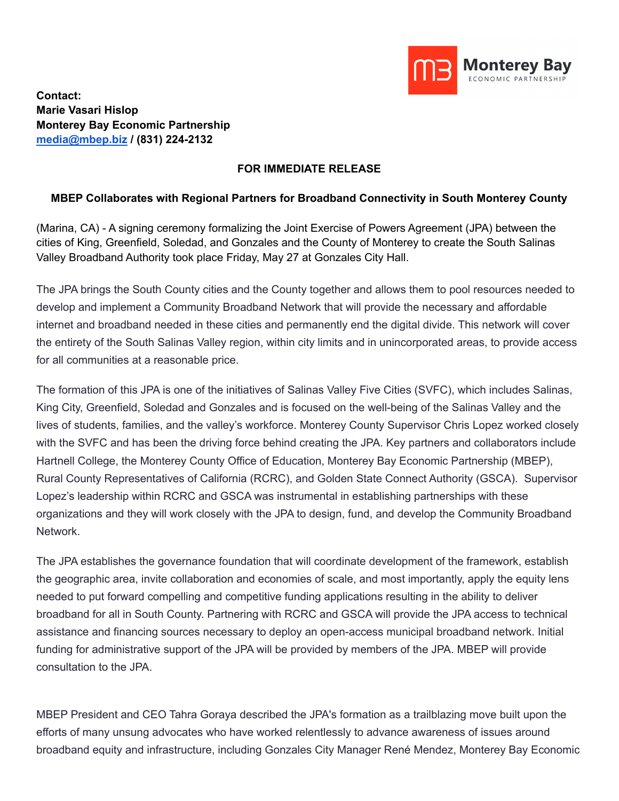

**Contact: Marie Vasari Hislop Monterey Bay Economic Partnership [media@mbep.biz](mailto:media@mbep.biz) / (831) 224-2132**

## **FOR IMMEDIATE RELEASE**

## **MBEP Collaborates with Regional Partners for Broadband Connectivity in South Monterey County**

(Marina, CA) - A signing ceremony formalizing the Joint Exercise of Powers Agreement (JPA) between the cities of King, Greenfield, Soledad, and Gonzales and the County of Monterey to create the South Salinas Valley Broadband Authority took place Friday, May 27 at Gonzales City Hall.

The JPA brings the South County cities and the County together and allows them to pool resources needed to develop and implement a Community Broadband Network that will provide the necessary and affordable internet and broadband needed in these cities and permanently end the digital divide. This network will cover the entirety of the South Salinas Valley region, within city limits and in unincorporated areas, to provide access for all communities at a reasonable price.

The formation of this JPA is one of the initiatives of Salinas Valley Five Cities (SVFC), which includes Salinas, King City, Greenfield, Soledad and Gonzales and is focused on the well-being of the Salinas Valley and the lives of students, families, and the valley's workforce. Monterey County Supervisor Chris Lopez worked closely with the SVFC and has been the driving force behind creating the JPA. Key partners and collaborators include Hartnell College, the Monterey County Office of Education, Monterey Bay Economic Partnership (MBEP), Rural County Representatives of California (RCRC), and Golden State Connect Authority (GSCA). Supervisor Lopez's leadership within RCRC and GSCA was instrumental in establishing partnerships with these organizations and they will work closely with the JPA to design, fund, and develop the Community Broadband Network.

The JPA establishes the governance foundation that will coordinate development of the framework, establish the geographic area, invite collaboration and economies of scale, and most importantly, apply the equity lens needed to put forward compelling and competitive funding applications resulting in the ability to deliver broadband for all in South County. Partnering with RCRC and GSCA will provide the JPA access to technical assistance and financing sources necessary to deploy an open-access municipal broadband network. Initial funding for administrative support of the JPA will be provided by members of the JPA. MBEP will provide consultation to the JPA.

MBEP President and CEO Tahra Goraya described the JPA's formation as a trailblazing move built upon the efforts of many unsung advocates who have worked relentlessly to advance awareness of issues around broadband equity and infrastructure, including Gonzales City Manager René Mendez, Monterey Bay Economic